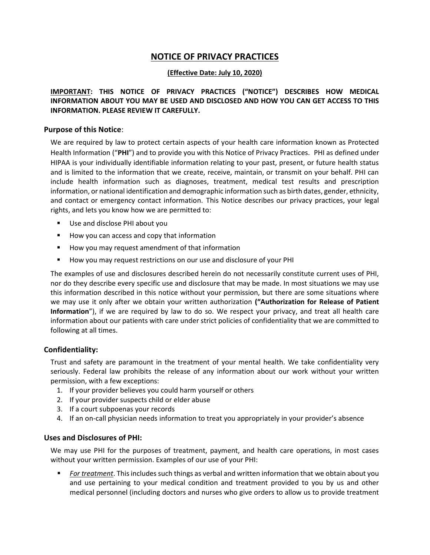# NOTICE OF PRIVACY PRACTICES

#### (Effective Date: July 10, 2020)

IMPORTANT: THIS NOTICE OF PRIVACY PRACTICES ("NOTICE") DESCRIBES HOW MEDICAL INFORMATION ABOUT YOU MAY BE USED AND DISCLOSED AND HOW YOU CAN GET ACCESS TO THIS INFORMATION. PLEASE REVIEW IT CAREFULLY.

#### Purpose of this Notice:

We are required by law to protect certain aspects of your health care information known as Protected Health Information ("PHI") and to provide you with this Notice of Privacy Practices. PHI as defined under HIPAA is your individually identifiable information relating to your past, present, or future health status and is limited to the information that we create, receive, maintain, or transmit on your behalf. PHI can include health information such as diagnoses, treatment, medical test results and prescription information, or national identification and demographic information such as birth dates, gender, ethnicity, and contact or emergency contact information. This Notice describes our privacy practices, your legal rights, and lets you know how we are permitted to:

- Use and disclose PHI about you
- How you can access and copy that information
- How you may request amendment of that information
- How you may request restrictions on our use and disclosure of your PHI

The examples of use and disclosures described herein do not necessarily constitute current uses of PHI, nor do they describe every specific use and disclosure that may be made. In most situations we may use this information described in this notice without your permission, but there are some situations where we may use it only after we obtain your written authorization ("Authorization for Release of Patient Information"), if we are required by law to do so. We respect your privacy, and treat all health care information about our patients with care under strict policies of confidentiality that we are committed to following at all times.

#### Confidentiality:

Trust and safety are paramount in the treatment of your mental health. We take confidentiality very seriously. Federal law prohibits the release of any information about our work without your written permission, with a few exceptions:

- 1. If your provider believes you could harm yourself or others
- 2. If your provider suspects child or elder abuse
- 3. If a court subpoenas your records
- 4. If an on-call physician needs information to treat you appropriately in your provider's absence

#### Uses and Disclosures of PHI:

We may use PHI for the purposes of treatment, payment, and health care operations, in most cases without your written permission. Examples of our use of your PHI:

For treatment. This includes such things as verbal and written information that we obtain about you and use pertaining to your medical condition and treatment provided to you by us and other medical personnel (including doctors and nurses who give orders to allow us to provide treatment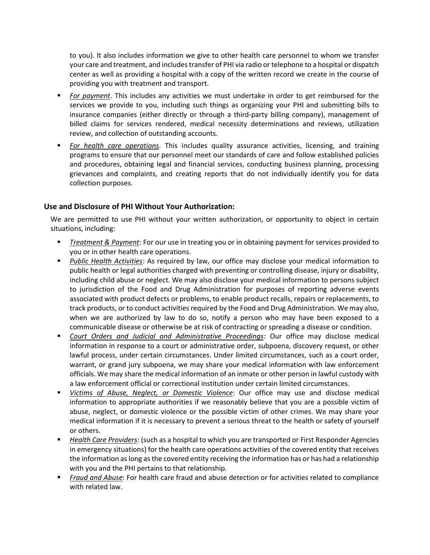to you). It also includes information we give to other health care personnel to whom we transfer your care and treatment, and includes transfer of PHI via radio or telephone to a hospital or dispatch center as well as providing a hospital with a copy of the written record we create in the course of providing you with treatment and transport.

- For payment. This includes any activities we must undertake in order to get reimbursed for the services we provide to you, including such things as organizing your PHI and submitting bills to insurance companies (either directly or through a third-party billing company), management of billed claims for services rendered, medical necessity determinations and reviews, utilization review, and collection of outstanding accounts.
- For health care operations. This includes quality assurance activities, licensing, and training programs to ensure that our personnel meet our standards of care and follow established policies and procedures, obtaining legal and financial services, conducting business planning, processing grievances and complaints, and creating reports that do not individually identify you for data collection purposes.

## Use and Disclosure of PHI Without Your Authorization:

We are permitted to use PHI without your written authorization, or opportunity to object in certain situations, including:

- **Theatment & Payment:** For our use in treating you or in obtaining payment for services provided to you or in other health care operations.
- Public Health Activities: As required by law, our office may disclose your medical information to public health or legal authorities charged with preventing or controlling disease, injury or disability, including child abuse or neglect. We may also disclose your medical information to persons subject to jurisdiction of the Food and Drug Administration for purposes of reporting adverse events associated with product defects or problems, to enable product recalls, repairs or replacements, to track products, or to conduct activities required by the Food and Drug Administration. We may also, when we are authorized by law to do so, notify a person who may have been exposed to a communicable disease or otherwise be at risk of contracting or spreading a disease or condition.
- Court Orders and Judicial and Administrative Proceedings: Our office may disclose medical information in response to a court or administrative order, subpoena, discovery request, or other lawful process, under certain circumstances. Under limited circumstances, such as a court order, warrant, or grand jury subpoena, we may share your medical information with law enforcement officials. We may share the medical information of an inmate or other person in lawful custody with a law enforcement official or correctional institution under certain limited circumstances.
- Victims of Abuse, Neglect, or Domestic Violence: Our office may use and disclose medical information to appropriate authorities if we reasonably believe that you are a possible victim of abuse, neglect, or domestic violence or the possible victim of other crimes. We may share your medical information if it is necessary to prevent a serious threat to the health or safety of yourself or others.
- Health Care Providers: (such as a hospital to which you are transported or First Responder Agencies in emergency situations) for the health care operations activities of the covered entity that receives the information as long as the covered entity receiving the information has or has had a relationship with you and the PHI pertains to that relationship.
- Fraud and Abuse: For health care fraud and abuse detection or for activities related to compliance with related law.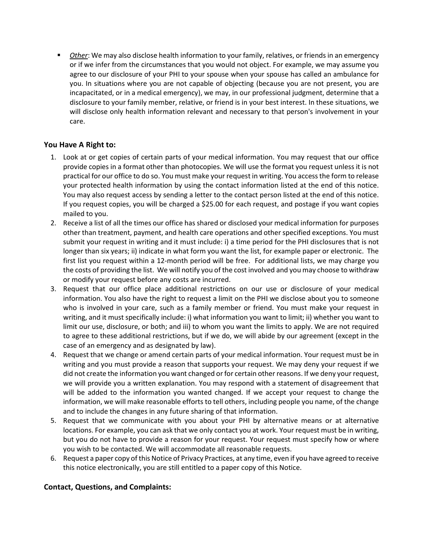Other: We may also disclose health information to your family, relatives, or friends in an emergency or if we infer from the circumstances that you would not object. For example, we may assume you agree to our disclosure of your PHI to your spouse when your spouse has called an ambulance for you. In situations where you are not capable of objecting (because you are not present, you are incapacitated, or in a medical emergency), we may, in our professional judgment, determine that a disclosure to your family member, relative, or friend is in your best interest. In these situations, we will disclose only health information relevant and necessary to that person's involvement in your care.

# You Have A Right to:

- 1. Look at or get copies of certain parts of your medical information. You may request that our office provide copies in a format other than photocopies. We will use the format you request unless it is not practical for our office to do so. You must make your request in writing. You access the form to release your protected health information by using the contact information listed at the end of this notice. You may also request access by sending a letter to the contact person listed at the end of this notice. If you request copies, you will be charged a \$25.00 for each request, and postage if you want copies mailed to you.
- 2. Receive a list of all the times our office has shared or disclosed your medical information for purposes other than treatment, payment, and health care operations and other specified exceptions. You must submit your request in writing and it must include: i) a time period for the PHI disclosures that is not longer than six years; ii) indicate in what form you want the list, for example paper or electronic. The first list you request within a 12-month period will be free. For additional lists, we may charge you the costs of providing the list. We will notify you of the cost involved and you may choose to withdraw or modify your request before any costs are incurred.
- 3. Request that our office place additional restrictions on our use or disclosure of your medical information. You also have the right to request a limit on the PHI we disclose about you to someone who is involved in your care, such as a family member or friend. You must make your request in writing, and it must specifically include: i) what information you want to limit; ii) whether you want to limit our use, disclosure, or both; and iii) to whom you want the limits to apply. We are not required to agree to these additional restrictions, but if we do, we will abide by our agreement (except in the case of an emergency and as designated by law).
- 4. Request that we change or amend certain parts of your medical information. Your request must be in writing and you must provide a reason that supports your request. We may deny your request if we did not create the information you want changed or for certain other reasons. If we deny your request, we will provide you a written explanation. You may respond with a statement of disagreement that will be added to the information you wanted changed. If we accept your request to change the information, we will make reasonable efforts to tell others, including people you name, of the change and to include the changes in any future sharing of that information.
- 5. Request that we communicate with you about your PHI by alternative means or at alternative locations. For example, you can ask that we only contact you at work. Your request must be in writing, but you do not have to provide a reason for your request. Your request must specify how or where you wish to be contacted. We will accommodate all reasonable requests.
- 6. Request a paper copy of this Notice of Privacy Practices, at any time, even if you have agreed to receive this notice electronically, you are still entitled to a paper copy of this Notice.

## Contact, Questions, and Complaints: